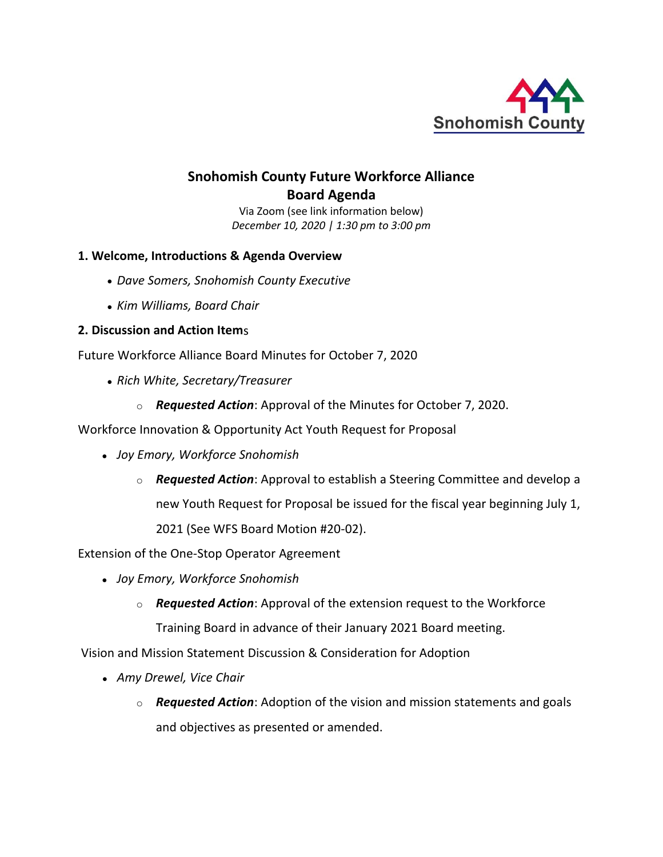

# **Snohomish County Future Workforce Alliance Board Agenda**

Via Zoom (see link information below) *December 10, 2020 | 1:30 pm to 3:00 pm*

# **1. Welcome, Introductions & Agenda Overview**

- *Dave Somers, Snohomish County Executive*
- *Kim Williams, Board Chair*

## **2. Discussion and Action Item**s

Future Workforce Alliance Board Minutes for October 7, 2020

- *Rich White, Secretary/Treasurer*
	- o *Requested Action*: Approval of the Minutes for October 7, 2020.

Workforce Innovation & Opportunity Act Youth Request for Proposal

- *Joy Emory, Workforce Snohomish*
	- o *Requested Action*: Approval to establish a Steering Committee and develop a new Youth Request for Proposal be issued for the fiscal year beginning July 1,

2021 (See WFS Board Motion #20-02).

Extension of the One-Stop Operator Agreement

- *Joy Emory, Workforce Snohomish*
	- o *Requested Action*: Approval of the extension request to the Workforce Training Board in advance of their January 2021 Board meeting.

Vision and Mission Statement Discussion & Consideration for Adoption

- *Amy Drewel, Vice Chair*
	- o *Requested Action*: Adoption of the vision and mission statements and goals and objectives as presented or amended.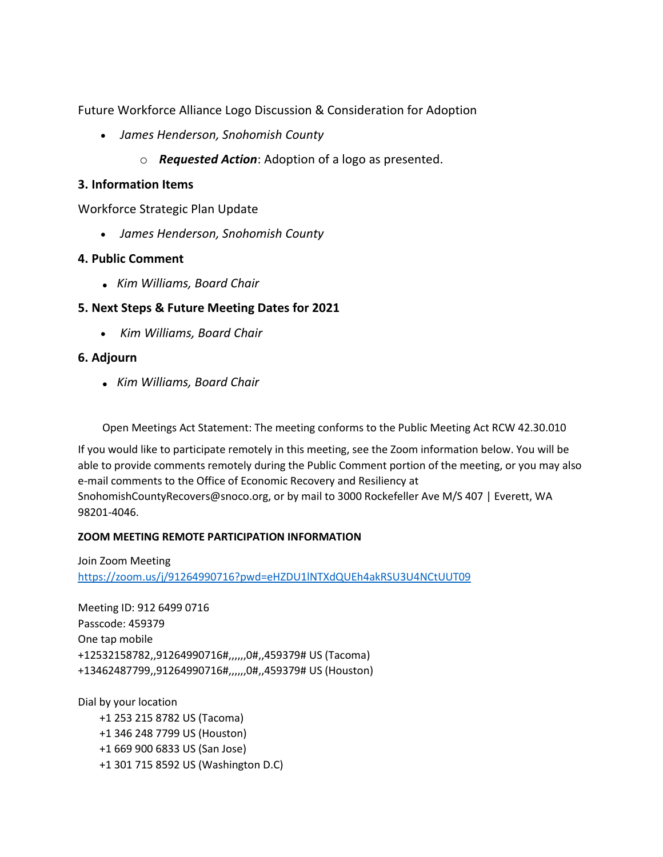Future Workforce Alliance Logo Discussion & Consideration for Adoption

- *James Henderson, Snohomish County*
	- o *Requested Action*: Adoption of a logo as presented.

#### **3. Information Items**

Workforce Strategic Plan Update

• *James Henderson, Snohomish County*

## **4. Public Comment**

• *Kim Williams, Board Chair*

# **5. Next Steps & Future Meeting Dates for 2021**

• *Kim Williams, Board Chair*

## **6. Adjourn**

• *Kim Williams, Board Chair*

Open Meetings Act Statement: The meeting conforms to the Public Meeting Act RCW 42.30.010

If you would like to participate remotely in this meeting, see the Zoom information below. You will be able to provide comments remotely during the Public Comment portion of the meeting, or you may also e-mail comments to the Office of Economic Recovery and Resiliency at SnohomishCountyRecovers@snoco.org, or by mail to 3000 Rockefeller Ave M/S 407 | Everett, WA 98201-4046.

#### **ZOOM MEETING REMOTE PARTICIPATION INFORMATION**

Join Zoom Meeting <https://zoom.us/j/91264990716?pwd=eHZDU1lNTXdQUEh4akRSU3U4NCtUUT09>

Meeting ID: 912 6499 0716 Passcode: 459379 One tap mobile +12532158782,,91264990716#,,,,,,0#,,459379# US (Tacoma) +13462487799,,91264990716#,,,,,,0#,,459379# US (Houston)

Dial by your location +1 253 215 8782 US (Tacoma) +1 346 248 7799 US (Houston) +1 669 900 6833 US (San Jose) +1 301 715 8592 US (Washington D.C)